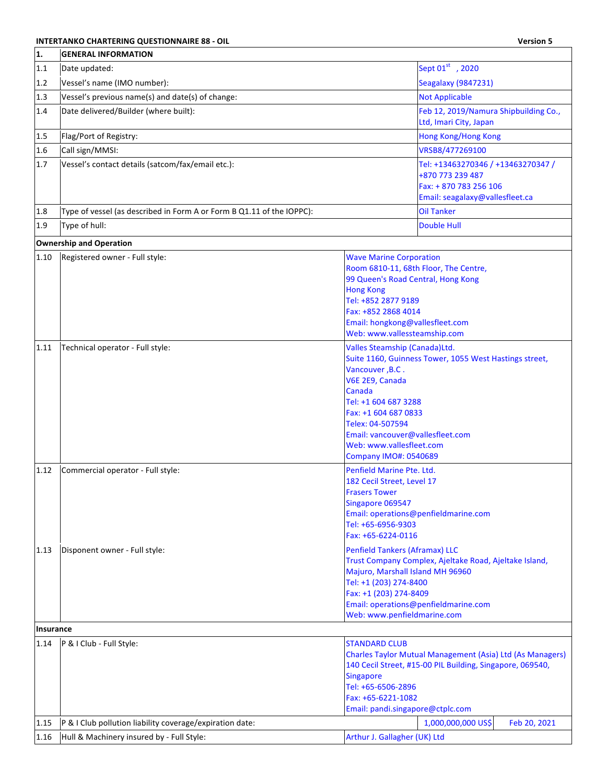## **INTERTANKO CHARTERING QUESTIONNAIRE 88 - OIL Version 5**<br> **EXAMPLE ANGELIA INFORMATION**

| 1.        | <b>GENERAL INFORMATION</b>                                            |                                                                                                                                                                                                                                                                                                             |
|-----------|-----------------------------------------------------------------------|-------------------------------------------------------------------------------------------------------------------------------------------------------------------------------------------------------------------------------------------------------------------------------------------------------------|
| 1.1       | Date updated:                                                         | Sept 01st , 2020                                                                                                                                                                                                                                                                                            |
| 1.2       | Vessel's name (IMO number):                                           | Seagalaxy (9847231)                                                                                                                                                                                                                                                                                         |
| 1.3       | Vessel's previous name(s) and date(s) of change:                      | <b>Not Applicable</b>                                                                                                                                                                                                                                                                                       |
| 1.4       | Date delivered/Builder (where built):                                 | Feb 12, 2019/Namura Shipbuilding Co.,<br>Ltd, Imari City, Japan                                                                                                                                                                                                                                             |
| 1.5       | Flag/Port of Registry:                                                | <b>Hong Kong/Hong Kong</b>                                                                                                                                                                                                                                                                                  |
| 1.6       | Call sign/MMSI:                                                       | VRSB8/477269100                                                                                                                                                                                                                                                                                             |
| 1.7       | Vessel's contact details (satcom/fax/email etc.):                     | Tel: +13463270346 / +13463270347 /<br>+870 773 239 487<br>Fax: + 870 783 256 106<br>Email: seagalaxy@vallesfleet.ca                                                                                                                                                                                         |
| 1.8       | Type of vessel (as described in Form A or Form B Q1.11 of the IOPPC): | <b>Oil Tanker</b>                                                                                                                                                                                                                                                                                           |
| 1.9       | Type of hull:                                                         | <b>Double Hull</b>                                                                                                                                                                                                                                                                                          |
|           | <b>Ownership and Operation</b>                                        |                                                                                                                                                                                                                                                                                                             |
| $1.10\,$  | Registered owner - Full style:                                        | <b>Wave Marine Corporation</b><br>Room 6810-11, 68th Floor, The Centre,<br>99 Queen's Road Central, Hong Kong<br><b>Hong Kong</b><br>Tel: +852 2877 9189<br>Fax: +852 2868 4014<br>Email: hongkong@vallesfleet.com<br>Web: www.vallessteamship.com                                                          |
| 1.11      | Technical operator - Full style:                                      | Valles Steamship (Canada)Ltd.<br>Suite 1160, Guinness Tower, 1055 West Hastings street,<br>Vancouver, B.C.<br>V6E 2E9, Canada<br>Canada<br>Tel: +1 604 687 3288<br>Fax: +1 604 687 0833<br>Telex: 04-507594<br>Email: vancouver@vallesfleet.com<br>Web: www.vallesfleet.com<br><b>Company IMO#: 0540689</b> |
| 1.12      | Commercial operator - Full style:                                     | Penfield Marine Pte. Ltd.<br>182 Cecil Street, Level 17<br><b>Frasers Tower</b><br>Singapore 069547<br>Email: operations@penfieldmarine.com<br>Tel: +65-6956-9303<br>Fax: +65-6224-0116                                                                                                                     |
| 1.13      | Disponent owner - Full style:                                         | <b>Penfield Tankers (Aframax) LLC</b><br>Trust Company Complex, Ajeltake Road, Ajeltake Island,<br>Majuro, Marshall Island MH 96960<br>Tel: +1 (203) 274-8400<br>Fax: +1 (203) 274-8409<br>Email: operations@penfieldmarine.com<br>Web: www.penfieldmarine.com                                              |
| Insurance |                                                                       |                                                                                                                                                                                                                                                                                                             |
| 1.14      | P & I Club - Full Style:                                              | <b>STANDARD CLUB</b><br>Charles Taylor Mutual Management (Asia) Ltd (As Managers)<br>140 Cecil Street, #15-00 PIL Building, Singapore, 069540,<br><b>Singapore</b><br>Tel: +65-6506-2896<br>Fax: +65-6221-1082<br>Email: pandi.singapore@ctplc.com                                                          |
| 1.15      | P & I Club pollution liability coverage/expiration date:              | 1,000,000,000 US\$<br>Feb 20, 2021                                                                                                                                                                                                                                                                          |
| 1.16      | Hull & Machinery insured by - Full Style:                             | Arthur J. Gallagher (UK) Ltd                                                                                                                                                                                                                                                                                |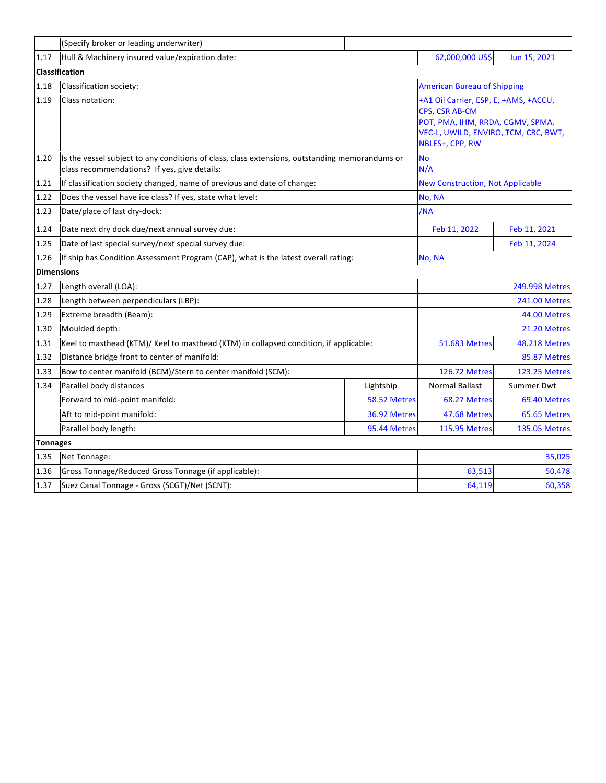|                   | (Specify broker or leading underwriter)                                                                                                        |              |                                                                                                                                                               |                      |
|-------------------|------------------------------------------------------------------------------------------------------------------------------------------------|--------------|---------------------------------------------------------------------------------------------------------------------------------------------------------------|----------------------|
| 1.17              | Hull & Machinery insured value/expiration date:                                                                                                |              | 62,000,000 US\$                                                                                                                                               | Jun 15, 2021         |
|                   | Classification                                                                                                                                 |              |                                                                                                                                                               |                      |
| 1.18              | Classification society:                                                                                                                        |              | <b>American Bureau of Shipping</b>                                                                                                                            |                      |
| 1.19              | Class notation:                                                                                                                                |              | +A1 Oil Carrier, ESP, E, +AMS, +ACCU,<br><b>CPS. CSR AB-CM</b><br>POT, PMA, IHM, RRDA, CGMV, SPMA,<br>VEC-L, UWILD, ENVIRO, TCM, CRC, BWT,<br>NBLES+, CPP, RW |                      |
| 1.20              | Is the vessel subject to any conditions of class, class extensions, outstanding memorandums or<br>class recommendations? If yes, give details: |              | <b>No</b><br>N/A                                                                                                                                              |                      |
| 1.21              | If classification society changed, name of previous and date of change:                                                                        |              | <b>New Construction, Not Applicable</b>                                                                                                                       |                      |
| 1.22              | Does the vessel have ice class? If yes, state what level:                                                                                      |              | No, NA                                                                                                                                                        |                      |
| 1.23              | Date/place of last dry-dock:                                                                                                                   |              | /NA                                                                                                                                                           |                      |
| 1.24              | Date next dry dock due/next annual survey due:                                                                                                 |              | Feb 11, 2022                                                                                                                                                  | Feb 11, 2021         |
| 1.25              | Date of last special survey/next special survey due:                                                                                           |              |                                                                                                                                                               | Feb 11, 2024         |
| 1.26              | If ship has Condition Assessment Program (CAP), what is the latest overall rating:                                                             |              | No, NA                                                                                                                                                        |                      |
| <b>Dimensions</b> |                                                                                                                                                |              |                                                                                                                                                               |                      |
| 1.27              | Length overall (LOA):                                                                                                                          |              | 249.998 Metres                                                                                                                                                |                      |
| 1.28              | Length between perpendiculars (LBP):                                                                                                           |              | <b>241.00 Metres</b>                                                                                                                                          |                      |
| 1.29              | Extreme breadth (Beam):                                                                                                                        |              | 44.00 Metres                                                                                                                                                  |                      |
| 1.30              | Moulded depth:                                                                                                                                 |              | 21.20 Metres                                                                                                                                                  |                      |
| 1.31              | Keel to masthead (KTM)/ Keel to masthead (KTM) in collapsed condition, if applicable:                                                          |              | <b>51.683 Metres</b>                                                                                                                                          | <b>48.218 Metres</b> |
| 1.32              | Distance bridge front to center of manifold:                                                                                                   |              |                                                                                                                                                               | 85.87 Metres         |
| 1.33              | Bow to center manifold (BCM)/Stern to center manifold (SCM):                                                                                   |              | <b>126.72 Metres</b>                                                                                                                                          | <b>123.25 Metres</b> |
| 1.34              | Parallel body distances                                                                                                                        | Lightship    | <b>Normal Ballast</b>                                                                                                                                         | Summer Dwt           |
|                   | Forward to mid-point manifold:                                                                                                                 | 58.52 Metres | 68.27 Metres                                                                                                                                                  | 69.40 Metres         |
|                   | Aft to mid-point manifold:                                                                                                                     | 36.92 Metres | 47.68 Metres                                                                                                                                                  | 65.65 Metres         |
|                   | Parallel body length:                                                                                                                          | 95.44 Metres | <b>115.95 Metres</b>                                                                                                                                          | <b>135.05 Metres</b> |
| <b>Tonnages</b>   |                                                                                                                                                |              |                                                                                                                                                               |                      |
| 1.35              | Net Tonnage:                                                                                                                                   |              |                                                                                                                                                               | 35,025               |
| 1.36              | Gross Tonnage/Reduced Gross Tonnage (if applicable):                                                                                           |              | 63,513                                                                                                                                                        | 50,478               |
| 1.37              | Suez Canal Tonnage - Gross (SCGT)/Net (SCNT):                                                                                                  |              | 64,119                                                                                                                                                        | 60,358               |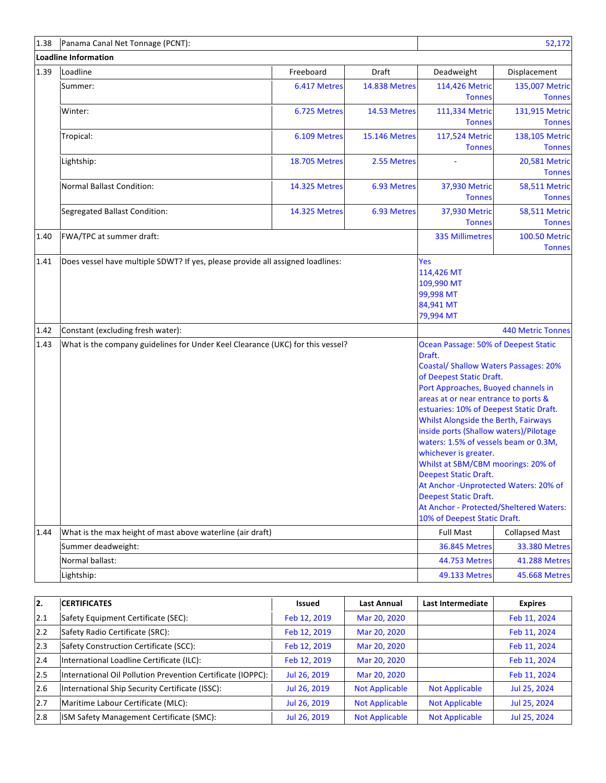| 1.38 | Panama Canal Net Tonnage (PCNT):                                               |                      | 52,172               |                                                                                                                                                                                                                                                                                                                                                                                                                                                                                                                                                                                                                                     |                                       |
|------|--------------------------------------------------------------------------------|----------------------|----------------------|-------------------------------------------------------------------------------------------------------------------------------------------------------------------------------------------------------------------------------------------------------------------------------------------------------------------------------------------------------------------------------------------------------------------------------------------------------------------------------------------------------------------------------------------------------------------------------------------------------------------------------------|---------------------------------------|
|      | <b>Loadline Information</b>                                                    |                      |                      |                                                                                                                                                                                                                                                                                                                                                                                                                                                                                                                                                                                                                                     |                                       |
| 1.39 | Loadline                                                                       | Freeboard            | Draft                | Deadweight                                                                                                                                                                                                                                                                                                                                                                                                                                                                                                                                                                                                                          | Displacement                          |
|      | Summer:                                                                        | 6.417 Metres         | <b>14.838 Metres</b> | 114,426 Metric<br><b>Tonnes</b>                                                                                                                                                                                                                                                                                                                                                                                                                                                                                                                                                                                                     | 135,007 Metric<br><b>Tonnes</b>       |
|      | Winter:                                                                        | 6.725 Metres         | 14.53 Metres         | 111,334 Metric<br><b>Tonnes</b>                                                                                                                                                                                                                                                                                                                                                                                                                                                                                                                                                                                                     | 131,915 Metric<br><b>Tonnes</b>       |
|      | Tropical:                                                                      | 6.109 Metres         | 15.146 Metres        | 117,524 Metric<br><b>Tonnes</b>                                                                                                                                                                                                                                                                                                                                                                                                                                                                                                                                                                                                     | 138,105 Metric<br><b>Tonnes</b>       |
|      | Lightship:                                                                     | <b>18.705 Metres</b> | 2.55 Metres          |                                                                                                                                                                                                                                                                                                                                                                                                                                                                                                                                                                                                                                     | <b>20,581 Metric</b><br><b>Tonnes</b> |
|      | <b>Normal Ballast Condition:</b>                                               | <b>14.325 Metres</b> | 6.93 Metres          | 37,930 Metric<br><b>Tonnes</b>                                                                                                                                                                                                                                                                                                                                                                                                                                                                                                                                                                                                      | <b>58,511 Metric</b><br><b>Tonnes</b> |
|      | Segregated Ballast Condition:                                                  | <b>14.325 Metres</b> | 6.93 Metres          | 37,930 Metric<br><b>Tonnes</b>                                                                                                                                                                                                                                                                                                                                                                                                                                                                                                                                                                                                      | <b>58,511 Metric</b><br><b>Tonnes</b> |
| 1.40 | FWA/TPC at summer draft:                                                       |                      |                      | <b>335 Millimetres</b>                                                                                                                                                                                                                                                                                                                                                                                                                                                                                                                                                                                                              | <b>100.50 Metric</b><br><b>Tonnes</b> |
| 1.41 | Does vessel have multiple SDWT? If yes, please provide all assigned loadlines: |                      |                      | Yes<br>114,426 MT<br>109,990 MT<br>99,998 MT<br>84,941 MT<br>79,994 MT                                                                                                                                                                                                                                                                                                                                                                                                                                                                                                                                                              |                                       |
| 1.42 | Constant (excluding fresh water):                                              |                      |                      |                                                                                                                                                                                                                                                                                                                                                                                                                                                                                                                                                                                                                                     | <b>440 Metric Tonnes</b>              |
| 1.43 | What is the company guidelines for Under Keel Clearance (UKC) for this vessel? |                      |                      | Ocean Passage: 50% of Deepest Static<br>Draft.<br><b>Coastal/ Shallow Waters Passages: 20%</b><br>of Deepest Static Draft.<br>Port Approaches, Buoyed channels in<br>areas at or near entrance to ports &<br>estuaries: 10% of Deepest Static Draft.<br>Whilst Alongside the Berth, Fairways<br>inside ports (Shallow waters)/Pilotage<br>waters: 1.5% of vessels beam or 0.3M,<br>whichever is greater.<br>Whilst at SBM/CBM moorings: 20% of<br><b>Deepest Static Draft.</b><br>At Anchor - Unprotected Waters: 20% of<br><b>Deepest Static Draft.</b><br>At Anchor - Protected/Sheltered Waters:<br>10% of Deepest Static Draft. |                                       |
| 1.44 | What is the max height of mast above waterline (air draft)                     |                      |                      | <b>Full Mast</b>                                                                                                                                                                                                                                                                                                                                                                                                                                                                                                                                                                                                                    | <b>Collapsed Mast</b>                 |
|      | Summer deadweight:                                                             |                      |                      | <b>36.845 Metres</b>                                                                                                                                                                                                                                                                                                                                                                                                                                                                                                                                                                                                                | <b>33.380 Metres</b>                  |
|      | Normal ballast:                                                                |                      |                      | 44.753 Metres                                                                                                                                                                                                                                                                                                                                                                                                                                                                                                                                                                                                                       | <b>41.288 Metres</b>                  |
|      | Lightship:                                                                     |                      |                      | 49.133 Metres                                                                                                                                                                                                                                                                                                                                                                                                                                                                                                                                                                                                                       | 45.668 Metres                         |

| 12.  | <b>ICERTIFICATES</b>                                        | <b>Issued</b> | <b>Last Annual</b>    | Last Intermediate     | <b>Expires</b> |
|------|-------------------------------------------------------------|---------------|-----------------------|-----------------------|----------------|
| 12.1 | Safety Equipment Certificate (SEC):                         | Feb 12, 2019  | Mar 20, 2020          |                       | Feb 11, 2024   |
| 12.2 | Safety Radio Certificate (SRC):                             | Feb 12, 2019  | Mar 20, 2020          |                       | Feb 11, 2024   |
| 12.3 | Safety Construction Certificate (SCC):                      | Feb 12, 2019  | Mar 20, 2020          |                       | Feb 11, 2024   |
| 12.4 | International Loadline Certificate (ILC):                   | Feb 12, 2019  | Mar 20, 2020          |                       | Feb 11, 2024   |
| 12.5 | International Oil Pollution Prevention Certificate (IOPPC): | Jul 26, 2019  | Mar 20, 2020          |                       | Feb 11, 2024   |
| 2.6  | International Ship Security Certificate (ISSC):             | Jul 26, 2019  | <b>Not Applicable</b> | <b>Not Applicable</b> | Jul 25, 2024   |
| 2.7  | Maritime Labour Certificate (MLC):                          | Jul 26, 2019  | <b>Not Applicable</b> | <b>Not Applicable</b> | Jul 25, 2024   |
| 2.8  | ISM Safety Management Certificate (SMC):                    | Jul 26, 2019  | <b>Not Applicable</b> | <b>Not Applicable</b> | Jul 25, 2024   |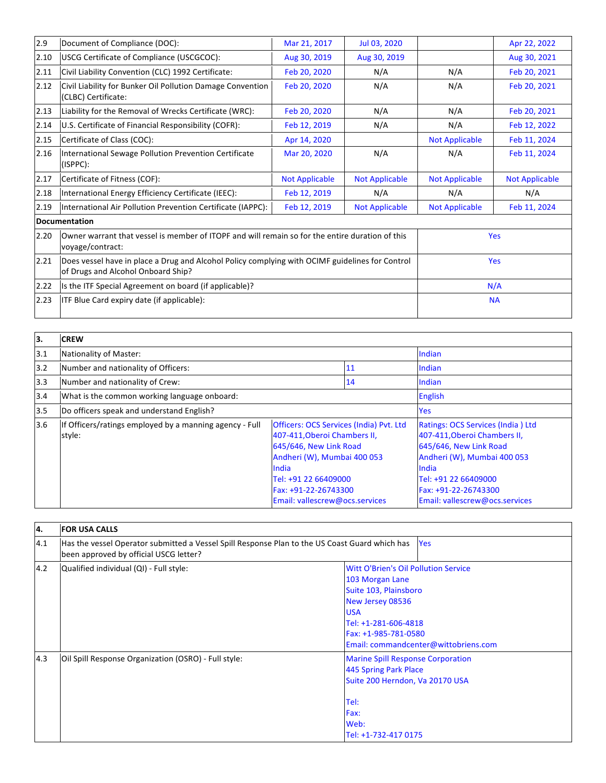| 2.9  | Document of Compliance (DOC):                                                                                                         | Mar 21, 2017          | Jul 03, 2020          |                       | Apr 22, 2022          |
|------|---------------------------------------------------------------------------------------------------------------------------------------|-----------------------|-----------------------|-----------------------|-----------------------|
| 2.10 | USCG Certificate of Compliance (USCGCOC):                                                                                             | Aug 30, 2019          | Aug 30, 2019          |                       | Aug 30, 2021          |
| 2.11 | Civil Liability Convention (CLC) 1992 Certificate:                                                                                    | Feb 20, 2020          | N/A                   | N/A                   | Feb 20, 2021          |
| 2.12 | Civil Liability for Bunker Oil Pollution Damage Convention<br>(CLBC) Certificate:                                                     | Feb 20, 2020          | N/A                   | N/A                   | Feb 20, 2021          |
| 2.13 | Liability for the Removal of Wrecks Certificate (WRC):                                                                                | Feb 20, 2020          | N/A                   | N/A                   | Feb 20, 2021          |
| 2.14 | U.S. Certificate of Financial Responsibility (COFR):                                                                                  | Feb 12, 2019          | N/A                   | N/A                   | Feb 12, 2022          |
| 2.15 | Certificate of Class (COC):                                                                                                           | Apr 14, 2020          |                       | <b>Not Applicable</b> | Feb 11, 2024          |
| 2.16 | International Sewage Pollution Prevention Certificate<br>(ISPPC):                                                                     | Mar 20, 2020          | N/A                   | N/A                   | Feb 11, 2024          |
| 2.17 | Certificate of Fitness (COF):                                                                                                         | <b>Not Applicable</b> | <b>Not Applicable</b> | <b>Not Applicable</b> | <b>Not Applicable</b> |
| 2.18 | International Energy Efficiency Certificate (IEEC):                                                                                   | Feb 12, 2019          | N/A                   | N/A                   | N/A                   |
| 2.19 | International Air Pollution Prevention Certificate (IAPPC):                                                                           | Feb 12, 2019          | <b>Not Applicable</b> | <b>Not Applicable</b> | Feb 11, 2024          |
|      | <b>Documentation</b>                                                                                                                  |                       |                       |                       |                       |
| 2.20 | Owner warrant that vessel is member of ITOPF and will remain so for the entire duration of this<br>voyage/contract:                   |                       |                       |                       | Yes                   |
| 2.21 | Does vessel have in place a Drug and Alcohol Policy complying with OCIMF guidelines for Control<br>of Drugs and Alcohol Onboard Ship? |                       |                       |                       | <b>Yes</b>            |
| 2.22 | Is the ITF Special Agreement on board (if applicable)?                                                                                |                       |                       |                       | N/A                   |
| 2.23 | ITF Blue Card expiry date (if applicable):                                                                                            |                       |                       |                       | <b>NA</b>             |

| ١з. | <b>CREW</b>                                                       |                                                                                                                                                                                                                                    |    |                                                                                                                                                                                                                       |
|-----|-------------------------------------------------------------------|------------------------------------------------------------------------------------------------------------------------------------------------------------------------------------------------------------------------------------|----|-----------------------------------------------------------------------------------------------------------------------------------------------------------------------------------------------------------------------|
| 3.1 | Nationality of Master:                                            |                                                                                                                                                                                                                                    |    | Indian                                                                                                                                                                                                                |
| 3.2 | Number and nationality of Officers:                               |                                                                                                                                                                                                                                    | 11 | Indian                                                                                                                                                                                                                |
| 3.3 | Number and nationality of Crew:                                   |                                                                                                                                                                                                                                    | 14 | Indian                                                                                                                                                                                                                |
| 3.4 | What is the common working language onboard:                      |                                                                                                                                                                                                                                    |    | <b>English</b>                                                                                                                                                                                                        |
| 3.5 | Do officers speak and understand English?                         |                                                                                                                                                                                                                                    |    | Yes                                                                                                                                                                                                                   |
| 3.6 | If Officers/ratings employed by a manning agency - Full<br>style: | <b>Officers: OCS Services (India) Pvt. Ltd</b><br>407-411, Oberoi Chambers II,<br>645/646, New Link Road<br>Andheri (W), Mumbai 400 053<br>India<br>Tel: +91 22 66409000<br>Fax: +91-22-26743300<br>Email: vallescrew@ocs.services |    | Ratings: OCS Services (India) Ltd<br>407-411, Oberoi Chambers II,<br>645/646, New Link Road<br>Andheri (W), Mumbai 400 053<br>India<br>Tel: +91 22 66409000<br>Fax: +91-22-26743300<br>Email: vallescrew@ocs.services |

| l4. | <b>FOR USA CALLS</b>                                                                                                                     |                                                                                                                                                                                                                   |
|-----|------------------------------------------------------------------------------------------------------------------------------------------|-------------------------------------------------------------------------------------------------------------------------------------------------------------------------------------------------------------------|
| 4.1 | Has the vessel Operator submitted a Vessel Spill Response Plan to the US Coast Guard which has<br>been approved by official USCG letter? | <b>Yes</b>                                                                                                                                                                                                        |
| 4.2 | Qualified individual (QI) - Full style:                                                                                                  | <b>Witt O'Brien's Oil Pollution Service</b><br>103 Morgan Lane<br>Suite 103, Plainsboro<br>New Jersey 08536<br><b>USA</b><br>Tel: +1-281-606-4818<br>Fax: +1-985-781-0580<br>Email: commandcenter@wittobriens.com |
| 4.3 | Oil Spill Response Organization (OSRO) - Full style:                                                                                     | <b>Marine Spill Response Corporation</b><br>445 Spring Park Place<br>Suite 200 Herndon, Va 20170 USA<br>Tel:<br>Fax:<br>Web:<br>Tel: +1-732-417 0175                                                              |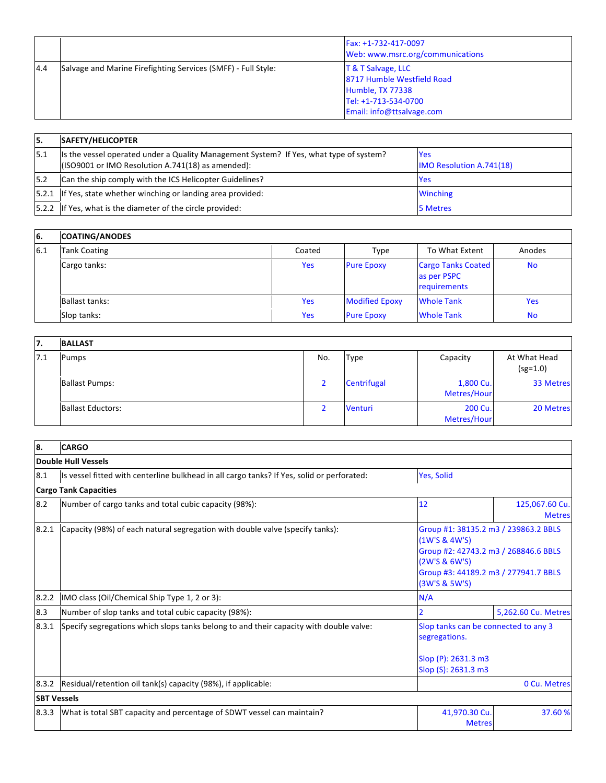|     |                                                               | Fax: +1-732-417-0097<br>Web: www.msrc.org/communications                                                                    |
|-----|---------------------------------------------------------------|-----------------------------------------------------------------------------------------------------------------------------|
| 4.4 | Salvage and Marine Firefighting Services (SMFF) - Full Style: | $T & T$ Salvage, LLC<br>8717 Humble Westfield Road<br>Humble, TX 77338<br>Tel: +1-713-534-0700<br>Email: info@ttsalvage.com |

| 15.   | <b>SAFETY/HELICOPTER</b>                                                                                                                     |                                               |
|-------|----------------------------------------------------------------------------------------------------------------------------------------------|-----------------------------------------------|
| 15.1  | Its the vessel operated under a Quality Management System? If Yes, what type of system?<br>(ISO9001 or IMO Resolution A.741(18) as amended): | <b>Yes</b><br><b>IMO Resolution A.741(18)</b> |
| 15.2  | Can the ship comply with the ICS Helicopter Guidelines?                                                                                      | <b>Yes</b>                                    |
| 5.2.1 | If Yes, state whether winching or landing area provided:                                                                                     | <b>Winching</b>                               |
|       | [5.2.2 If Yes, what is the diameter of the circle provided:                                                                                  | 5 Metres                                      |

| <b>6.</b> | <b>COATING/ANODES</b> |        |                       |                                                          |            |
|-----------|-----------------------|--------|-----------------------|----------------------------------------------------------|------------|
| 6.1       | <b>Tank Coating</b>   | Coated | Type                  | To What Extent                                           | Anodes     |
|           | Cargo tanks:          | Yes    | <b>Pure Epoxy</b>     | <b>Cargo Tanks Coated</b><br>as per PSPC<br>requirements | <b>No</b>  |
|           | Ballast tanks:        | Yes    | <b>Modified Epoxy</b> | <b>Whole Tank</b>                                        | <b>Yes</b> |
|           | Slop tanks:           | Yes    | <b>Pure Epoxy</b>     | <b>Whole Tank</b>                                        | <b>No</b>  |

| 17. | <b>BALLAST</b>           |     |             |                          |                            |
|-----|--------------------------|-----|-------------|--------------------------|----------------------------|
| 7.1 | <b>Pumps</b>             | No. | <b>Type</b> | Capacity                 | At What Head<br>$(sg=1.0)$ |
|     | <b>Ballast Pumps:</b>    |     | Centrifugal | 1,800 Cu.<br>Metres/Hour | 33 Metres                  |
|     | <b>Ballast Eductors:</b> |     | Venturi     | 200 Cu.<br>Metres/Hour   | 20 Metres                  |

| 8.                 | <b>CARGO</b>                                                                                             |                                                                                                                                                                         |                                 |  |  |
|--------------------|----------------------------------------------------------------------------------------------------------|-------------------------------------------------------------------------------------------------------------------------------------------------------------------------|---------------------------------|--|--|
|                    | <b>Double Hull Vessels</b>                                                                               |                                                                                                                                                                         |                                 |  |  |
| 8.1                | Is vessel fitted with centerline bulkhead in all cargo tanks? If Yes, solid or perforated:<br>Yes, Solid |                                                                                                                                                                         |                                 |  |  |
|                    | <b>Cargo Tank Capacities</b>                                                                             |                                                                                                                                                                         |                                 |  |  |
| 8.2                | Number of cargo tanks and total cubic capacity (98%):                                                    | 12                                                                                                                                                                      | 125,067.60 Cu.<br><b>Metres</b> |  |  |
| 8.2.1              | Capacity (98%) of each natural segregation with double valve (specify tanks):                            | Group #1: 38135.2 m3 / 239863.2 BBLS<br>(1W'S & 4W'S)<br>Group #2: 42743.2 m3 / 268846.6 BBLS<br>(2W'S & 6W'S)<br>Group #3: 44189.2 m3 / 277941.7 BBLS<br>(3W'S & 5W'S) |                                 |  |  |
| 8.2.2              | IMO class (Oil/Chemical Ship Type 1, 2 or 3):                                                            | N/A                                                                                                                                                                     |                                 |  |  |
| 8.3                | Number of slop tanks and total cubic capacity (98%):                                                     | 2                                                                                                                                                                       | 5,262.60 Cu. Metres             |  |  |
| 8.3.1              | Specify segregations which slops tanks belong to and their capacity with double valve:                   | Slop tanks can be connected to any 3<br>segregations.<br>Slop (P): 2631.3 m3<br>Slop (S): 2631.3 m3                                                                     |                                 |  |  |
| 8.3.2              | Residual/retention oil tank(s) capacity (98%), if applicable:                                            |                                                                                                                                                                         | 0 Cu. Metres                    |  |  |
| <b>SBT Vessels</b> |                                                                                                          |                                                                                                                                                                         |                                 |  |  |
| 8.3.3              | What is total SBT capacity and percentage of SDWT vessel can maintain?                                   | 41,970.30 Cu.<br><b>Metres</b>                                                                                                                                          | 37.60 %                         |  |  |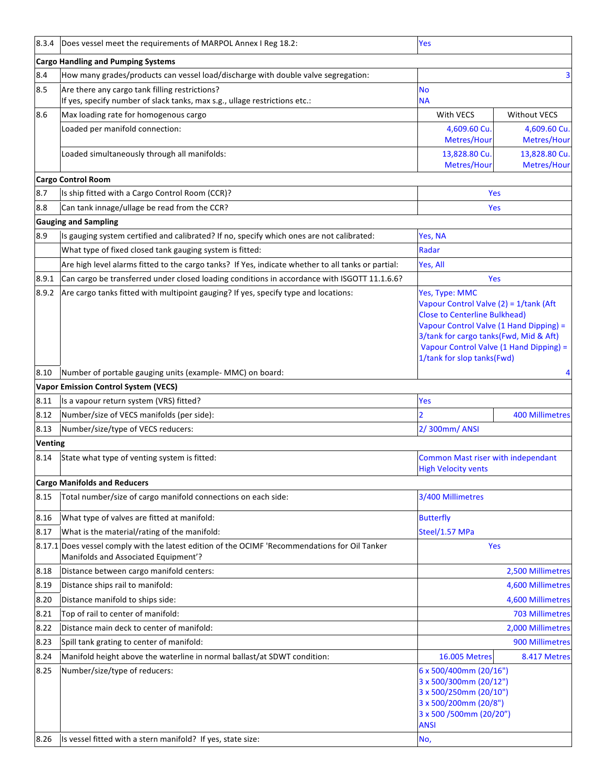| 8.3.4                                     | Does vessel meet the requirements of MARPOL Annex I Reg 18.2:                                                                   | Yes                                                                                                                                                                                                                                          |                              |  |  |
|-------------------------------------------|---------------------------------------------------------------------------------------------------------------------------------|----------------------------------------------------------------------------------------------------------------------------------------------------------------------------------------------------------------------------------------------|------------------------------|--|--|
| <b>Cargo Handling and Pumping Systems</b> |                                                                                                                                 |                                                                                                                                                                                                                                              |                              |  |  |
| 8.4                                       | How many grades/products can vessel load/discharge with double valve segregation:                                               |                                                                                                                                                                                                                                              |                              |  |  |
| 8.5                                       | Are there any cargo tank filling restrictions?                                                                                  | No                                                                                                                                                                                                                                           |                              |  |  |
|                                           | If yes, specify number of slack tanks, max s.g., ullage restrictions etc.:                                                      | <b>NA</b>                                                                                                                                                                                                                                    |                              |  |  |
| 8.6                                       | Max loading rate for homogenous cargo                                                                                           | With VECS                                                                                                                                                                                                                                    | <b>Without VECS</b>          |  |  |
|                                           | Loaded per manifold connection:                                                                                                 | 4,609.60 Cu<br>Metres/Hour                                                                                                                                                                                                                   | 4,609.60 Cu.<br>Metres/Hour  |  |  |
|                                           | Loaded simultaneously through all manifolds:                                                                                    | 13,828.80 Cu.<br>Metres/Hour                                                                                                                                                                                                                 | 13,828.80 Cu.<br>Metres/Hour |  |  |
|                                           | <b>Cargo Control Room</b>                                                                                                       |                                                                                                                                                                                                                                              |                              |  |  |
| 8.7                                       | Is ship fitted with a Cargo Control Room (CCR)?                                                                                 | Yes                                                                                                                                                                                                                                          |                              |  |  |
| 8.8                                       | Can tank innage/ullage be read from the CCR?                                                                                    | Yes                                                                                                                                                                                                                                          |                              |  |  |
|                                           | <b>Gauging and Sampling</b>                                                                                                     |                                                                                                                                                                                                                                              |                              |  |  |
| 8.9                                       | Is gauging system certified and calibrated? If no, specify which ones are not calibrated:                                       | Yes, NA                                                                                                                                                                                                                                      |                              |  |  |
|                                           | What type of fixed closed tank gauging system is fitted:                                                                        | Radar                                                                                                                                                                                                                                        |                              |  |  |
|                                           | Are high level alarms fitted to the cargo tanks? If Yes, indicate whether to all tanks or partial:                              | Yes, All                                                                                                                                                                                                                                     |                              |  |  |
| 8.9.1                                     | Can cargo be transferred under closed loading conditions in accordance with ISGOTT 11.1.6.6?                                    | Yes                                                                                                                                                                                                                                          |                              |  |  |
| 8.9.2                                     | Are cargo tanks fitted with multipoint gauging? If yes, specify type and locations:                                             | Yes, Type: MMC                                                                                                                                                                                                                               |                              |  |  |
|                                           |                                                                                                                                 | Vapour Control Valve (2) = 1/tank (Aft<br><b>Close to Centerline Bulkhead)</b><br>Vapour Control Valve (1 Hand Dipping) =<br>3/tank for cargo tanks(Fwd, Mid & Aft)<br>Vapour Control Valve (1 Hand Dipping) =<br>1/tank for slop tanks(Fwd) |                              |  |  |
| 8.10                                      | Number of portable gauging units (example- MMC) on board:                                                                       |                                                                                                                                                                                                                                              |                              |  |  |
|                                           | <b>Vapor Emission Control System (VECS)</b>                                                                                     |                                                                                                                                                                                                                                              |                              |  |  |
| 8.11                                      | Is a vapour return system (VRS) fitted?                                                                                         | Yes                                                                                                                                                                                                                                          |                              |  |  |
| 8.12                                      | Number/size of VECS manifolds (per side):                                                                                       |                                                                                                                                                                                                                                              | <b>400 Millimetres</b>       |  |  |
| 8.13                                      | Number/size/type of VECS reducers:                                                                                              | 2/300mm/ANSI                                                                                                                                                                                                                                 |                              |  |  |
| <b>Venting</b>                            |                                                                                                                                 |                                                                                                                                                                                                                                              |                              |  |  |
| 8.14                                      | State what type of venting system is fitted:                                                                                    | <b>Common Mast riser with independant</b><br><b>High Velocity vents</b>                                                                                                                                                                      |                              |  |  |
|                                           | <b>Cargo Manifolds and Reducers</b>                                                                                             |                                                                                                                                                                                                                                              |                              |  |  |
| 8.15                                      | Total number/size of cargo manifold connections on each side:                                                                   | 3/400 Millimetres                                                                                                                                                                                                                            |                              |  |  |
| 8.16                                      | What type of valves are fitted at manifold:                                                                                     | <b>Butterfly</b>                                                                                                                                                                                                                             |                              |  |  |
| 8.17                                      | What is the material/rating of the manifold:                                                                                    | Steel/1.57 MPa                                                                                                                                                                                                                               |                              |  |  |
| 8.17.1                                    | Does vessel comply with the latest edition of the OCIMF 'Recommendations for Oil Tanker<br>Manifolds and Associated Equipment'? | Yes                                                                                                                                                                                                                                          |                              |  |  |
| 8.18                                      | Distance between cargo manifold centers:                                                                                        |                                                                                                                                                                                                                                              | 2,500 Millimetres            |  |  |
| 8.19                                      | Distance ships rail to manifold:                                                                                                |                                                                                                                                                                                                                                              | 4,600 Millimetres            |  |  |
| 8.20                                      | Distance manifold to ships side:                                                                                                |                                                                                                                                                                                                                                              | 4,600 Millimetres            |  |  |
| 8.21                                      | Top of rail to center of manifold:                                                                                              |                                                                                                                                                                                                                                              | 703 Millimetres              |  |  |
| 8.22                                      | Distance main deck to center of manifold:                                                                                       |                                                                                                                                                                                                                                              | 2,000 Millimetres            |  |  |
| 8.23                                      | Spill tank grating to center of manifold:                                                                                       |                                                                                                                                                                                                                                              | 900 Millimetres              |  |  |
| 8.24                                      | Manifold height above the waterline in normal ballast/at SDWT condition:                                                        | <b>16.005 Metres</b>                                                                                                                                                                                                                         | 8.417 Metres                 |  |  |
| 8.25<br>8.26                              | Number/size/type of reducers:<br>Is vessel fitted with a stern manifold? If yes, state size:                                    | 6 x 500/400mm (20/16")<br>3 x 500/300mm (20/12")<br>3 x 500/250mm (20/10")<br>3 x 500/200mm (20/8")<br>3 x 500 /500mm (20/20")<br><b>ANSI</b><br>No,                                                                                         |                              |  |  |
|                                           |                                                                                                                                 |                                                                                                                                                                                                                                              |                              |  |  |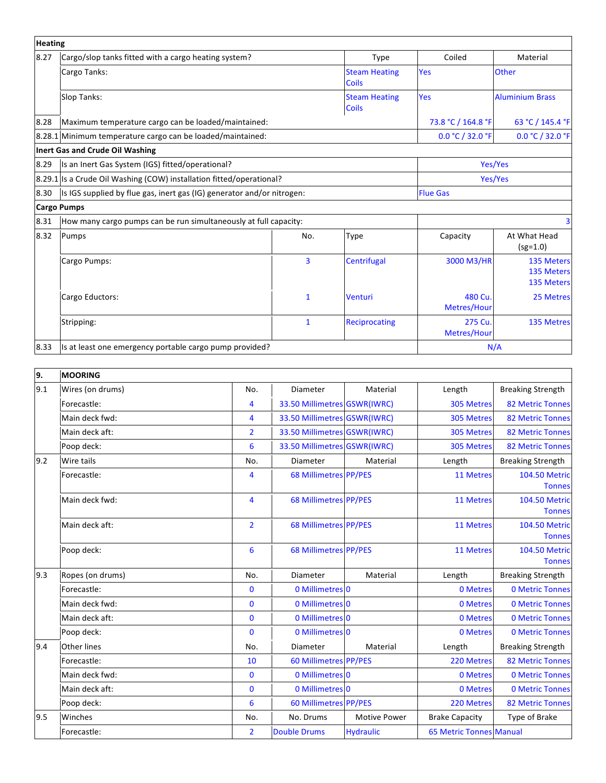| <b>Heating</b> |                                                                        |              |                                      |                        |                                               |
|----------------|------------------------------------------------------------------------|--------------|--------------------------------------|------------------------|-----------------------------------------------|
| 8.27           | Cargo/slop tanks fitted with a cargo heating system?<br><b>Type</b>    |              | Coiled                               | Material               |                                               |
|                | Cargo Tanks:                                                           |              | <b>Steam Heating</b><br><b>Coils</b> | <b>Yes</b>             | <b>Other</b>                                  |
|                | Slop Tanks:                                                            |              | <b>Steam Heating</b><br><b>Coils</b> | <b>Yes</b>             | <b>Aluminium Brass</b>                        |
| 8.28           | Maximum temperature cargo can be loaded/maintained:                    |              |                                      | 73.8 °C / 164.8 °F     | 63 °C / 145.4 °F                              |
|                | 8.28.1 Minimum temperature cargo can be loaded/maintained:             |              |                                      | 0.0 °C / 32.0 °F       | 0.0 °C / 32.0 °F                              |
|                | <b>Inert Gas and Crude Oil Washing</b>                                 |              |                                      |                        |                                               |
| 8.29           | Is an Inert Gas System (IGS) fitted/operational?                       |              |                                      | Yes/Yes                |                                               |
|                | 8.29.1 Is a Crude Oil Washing (COW) installation fitted/operational?   |              |                                      | Yes/Yes                |                                               |
| 8.30           | Is IGS supplied by flue gas, inert gas (IG) generator and/or nitrogen: |              |                                      | <b>Flue Gas</b>        |                                               |
|                | <b>Cargo Pumps</b>                                                     |              |                                      |                        |                                               |
| 8.31           | How many cargo pumps can be run simultaneously at full capacity:       |              |                                      |                        | 3                                             |
| 8.32           | Pumps                                                                  | No.          | Type                                 | Capacity               | At What Head<br>$(sg=1.0)$                    |
|                | Cargo Pumps:                                                           | 3            | Centrifugal                          | 3000 M3/HR             | <b>135 Meters</b><br>135 Meters<br>135 Meters |
|                | Cargo Eductors:                                                        | $\mathbf{1}$ | Venturi                              | 480 Cu.<br>Metres/Hour | 25 Metres                                     |
|                | Stripping:                                                             | $\mathbf{1}$ | <b>Reciprocating</b>                 | 275 Cu.<br>Metres/Hour | 135 Metres                                    |
| 8.33           | Is at least one emergency portable cargo pump provided?                |              |                                      | N/A                    |                                               |

| 9.  | MOORING            |                 |                              |                     |                                |                                       |
|-----|--------------------|-----------------|------------------------------|---------------------|--------------------------------|---------------------------------------|
| 9.1 | Wires (on drums)   | No.             | Diameter                     | Material            | Length                         | <b>Breaking Strength</b>              |
|     | Forecastle:        | $\overline{4}$  | 33.50 Millimetres GSWR(IWRC) |                     | 305 Metres                     | <b>82 Metric Tonnes</b>               |
|     | Main deck fwd:     | 4               | 33.50 Millimetres GSWR(IWRC) |                     | 305 Metres                     | <b>82 Metric Tonnes</b>               |
|     | Main deck aft:     | $\overline{2}$  | 33.50 Millimetres GSWR(IWRC) |                     | 305 Metres                     | <b>82 Metric Tonnes</b>               |
|     | Poop deck:         | 6               | 33.50 Millimetres GSWR(IWRC) |                     | 305 Metres                     | <b>82 Metric Tonnes</b>               |
| 9.2 | Wire tails         | No.             | Diameter                     | Material            | Length                         | <b>Breaking Strength</b>              |
|     | Forecastle:        | 4               | <b>68 Millimetres PP/PES</b> |                     | 11 Metres                      | <b>104.50 Metric</b><br><b>Tonnes</b> |
|     | Main deck fwd:     | $\overline{4}$  | 68 Millimetres PP/PES        |                     | 11 Metres                      | <b>104.50 Metric</b><br><b>Tonnes</b> |
|     | Main deck aft:     | $\overline{2}$  | 68 Millimetres PP/PES        |                     | 11 Metres                      | <b>104.50 Metric</b><br><b>Tonnes</b> |
|     | Poop deck:         | 6               | 68 Millimetres PP/PES        |                     | 11 Metres                      | <b>104.50 Metric</b><br><b>Tonnes</b> |
| 9.3 | Ropes (on drums)   | No.             | Diameter                     | Material            | Length                         | <b>Breaking Strength</b>              |
|     | Forecastle:        | $\mathbf{0}$    | 0 Millimetres 0              |                     | 0 Metres                       | <b>0 Metric Tonnes</b>                |
|     | Main deck fwd:     | $\bf{0}$        | 0 Millimetres 0              |                     | 0 Metres                       | <b>0 Metric Tonnes</b>                |
|     | Main deck aft:     | $\mathbf{0}$    | 0 Millimetres 0              |                     | 0 Metres                       | 0 Metric Tonnes                       |
|     | Poop deck:         | $\mathbf{0}$    | 0 Millimetres 0              |                     | 0 Metres                       | <b>0 Metric Tonnes</b>                |
| 9.4 | <b>Other lines</b> | No.             | Diameter                     | Material            | Length                         | <b>Breaking Strength</b>              |
|     | Forecastle:        | 10              | <b>60 Millimetres PP/PES</b> |                     | 220 Metres                     | <b>82 Metric Tonnes</b>               |
|     | Main deck fwd:     | $\mathbf{0}$    | 0 Millimetres 0              |                     | 0 Metres                       | <b>0 Metric Tonnes</b>                |
|     | Main deck aft:     | $\mathbf{0}$    | 0 Millimetres 0              |                     | 0 Metres                       | <b>0 Metric Tonnes</b>                |
|     | Poop deck:         | $6\phantom{1}6$ | <b>60 Millimetres PP/PES</b> |                     | 220 Metres                     | <b>82 Metric Tonnes</b>               |
| 9.5 | Winches            | No.             | No. Drums                    | <b>Motive Power</b> | <b>Brake Capacity</b>          | Type of Brake                         |
|     | Forecastle:        | $\overline{2}$  | <b>Double Drums</b>          | <b>Hydraulic</b>    | <b>65 Metric Tonnes Manual</b> |                                       |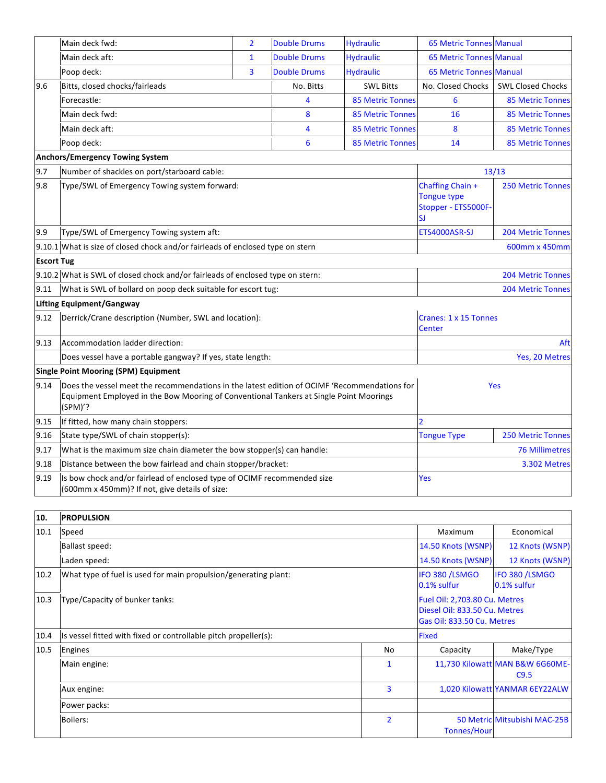|                   | Main deck fwd:                                                                                                                                                                                    | $\overline{2}$ | <b>Double Drums</b> | <b>Hydraulic</b>                                                    | 65 Metric Tonnes Manual                |                          |
|-------------------|---------------------------------------------------------------------------------------------------------------------------------------------------------------------------------------------------|----------------|---------------------|---------------------------------------------------------------------|----------------------------------------|--------------------------|
|                   | Main deck aft:                                                                                                                                                                                    | $\mathbf{1}$   | <b>Double Drums</b> | <b>Hydraulic</b>                                                    | <b>65 Metric Tonnes Manual</b>         |                          |
|                   | Poop deck:                                                                                                                                                                                        | 3              | <b>Double Drums</b> | <b>Hydraulic</b>                                                    | <b>65 Metric Tonnes Manual</b>         |                          |
| 9.6               | Bitts, closed chocks/fairleads                                                                                                                                                                    |                | No. Bitts           | <b>SWL Bitts</b>                                                    | No. Closed Chocks                      | <b>SWL Closed Chocks</b> |
|                   | Forecastle:                                                                                                                                                                                       |                | 4                   | <b>85 Metric Tonnes</b>                                             | 6                                      | <b>85 Metric Tonnes</b>  |
|                   | Main deck fwd:                                                                                                                                                                                    |                | 8                   | <b>85 Metric Tonnes</b>                                             | 16                                     | <b>85 Metric Tonnes</b>  |
|                   | Main deck aft:                                                                                                                                                                                    |                | 4                   | <b>85 Metric Tonnes</b>                                             | 8                                      | <b>85 Metric Tonnes</b>  |
|                   | Poop deck:                                                                                                                                                                                        |                | 6                   | <b>85 Metric Tonnes</b>                                             | 14                                     | <b>85 Metric Tonnes</b>  |
|                   | <b>Anchors/Emergency Towing System</b>                                                                                                                                                            |                |                     |                                                                     |                                        |                          |
| 9.7               | Number of shackles on port/starboard cable:                                                                                                                                                       |                |                     |                                                                     |                                        | 13/13                    |
| 9.8               | Type/SWL of Emergency Towing system forward:                                                                                                                                                      |                |                     | Chaffing Chain +<br><b>Tongue type</b><br>Stopper - ETS5000F-<br>SJ | <b>250 Metric Tonnes</b>               |                          |
| 9.9               | Type/SWL of Emergency Towing system aft:                                                                                                                                                          |                |                     |                                                                     | ETS4000ASR-SJ                          | <b>204 Metric Tonnes</b> |
|                   | 9.10.1 What is size of closed chock and/or fairleads of enclosed type on stern                                                                                                                    |                |                     |                                                                     |                                        | 600mm x 450mm            |
| <b>Escort Tug</b> |                                                                                                                                                                                                   |                |                     |                                                                     |                                        |                          |
|                   | 9.10.2 What is SWL of closed chock and/or fairleads of enclosed type on stern:                                                                                                                    |                |                     |                                                                     | <b>204 Metric Tonnes</b>               |                          |
| 9.11              | What is SWL of bollard on poop deck suitable for escort tug:                                                                                                                                      |                |                     |                                                                     |                                        | <b>204 Metric Tonnes</b> |
|                   | <b>Lifting Equipment/Gangway</b>                                                                                                                                                                  |                |                     |                                                                     |                                        |                          |
| 9.12              | Derrick/Crane description (Number, SWL and location):                                                                                                                                             |                |                     |                                                                     | Cranes: 1 x 15 Tonnes<br><b>Center</b> |                          |
| 9.13              | Accommodation ladder direction:                                                                                                                                                                   |                |                     |                                                                     | Aft                                    |                          |
|                   | Does vessel have a portable gangway? If yes, state length:                                                                                                                                        |                |                     |                                                                     | Yes, 20 Metres                         |                          |
|                   | <b>Single Point Mooring (SPM) Equipment</b>                                                                                                                                                       |                |                     |                                                                     |                                        |                          |
| 9.14              | Does the vessel meet the recommendations in the latest edition of OCIMF 'Recommendations for<br>Equipment Employed in the Bow Mooring of Conventional Tankers at Single Point Moorings<br>(SPM)'? |                |                     | Yes                                                                 |                                        |                          |
| 9.15              | If fitted, how many chain stoppers:                                                                                                                                                               |                |                     | $\overline{\phantom{a}}$                                            |                                        |                          |
| 9.16              | State type/SWL of chain stopper(s):                                                                                                                                                               |                |                     | <b>Tongue Type</b>                                                  | <b>250 Metric Tonnes</b>               |                          |
| 9.17              | What is the maximum size chain diameter the bow stopper(s) can handle:                                                                                                                            |                |                     |                                                                     |                                        | <b>76 Millimetres</b>    |
| 9.18              | Distance between the bow fairlead and chain stopper/bracket:                                                                                                                                      |                |                     |                                                                     | 3.302 Metres                           |                          |
| 9.19              | Is bow chock and/or fairlead of enclosed type of OCIMF recommended size<br>(600mm x 450mm)? If not, give details of size:                                                                         |                |                     | Yes                                                                 |                                        |                          |

| 10.  | <b>PROPULSION</b>                                               |                                                                                              |                               |                                         |  |
|------|-----------------------------------------------------------------|----------------------------------------------------------------------------------------------|-------------------------------|-----------------------------------------|--|
| 10.1 | Speed                                                           | Maximum                                                                                      | Economical                    |                                         |  |
|      | <b>Ballast speed:</b>                                           | 14.50 Knots (WSNP)                                                                           | 12 Knots (WSNP)               |                                         |  |
|      | Laden speed:                                                    |                                                                                              | 14.50 Knots (WSNP)            | 12 Knots (WSNP)                         |  |
| 10.2 | What type of fuel is used for main propulsion/generating plant: |                                                                                              | IFO 380 /LSMGO<br>0.1% sulfur | IFO 380 /LSMGO<br>0.1% sulfur           |  |
| 10.3 | Type/Capacity of bunker tanks:                                  | Fuel Oil: 2,703.80 Cu. Metres<br>Diesel Oil: 833.50 Cu. Metres<br>Gas Oil: 833.50 Cu. Metres |                               |                                         |  |
| 10.4 | Is vessel fitted with fixed or controllable pitch propeller(s): | <b>Fixed</b>                                                                                 |                               |                                         |  |
| 10.5 | Engines                                                         | No                                                                                           | Capacity                      | Make/Type                               |  |
|      | Main engine:                                                    | 1                                                                                            |                               | 11,730 Kilowatt MAN B&W 6G60ME-<br>C9.5 |  |
|      | Aux engine:                                                     | 3                                                                                            |                               | 1,020 Kilowatt YANMAR 6EY22ALW          |  |
|      | Power packs:                                                    |                                                                                              |                               |                                         |  |
|      | Boilers:                                                        | $\overline{2}$                                                                               | <b>Tonnes/Hour</b>            | 50 Metric Mitsubishi MAC-25B            |  |